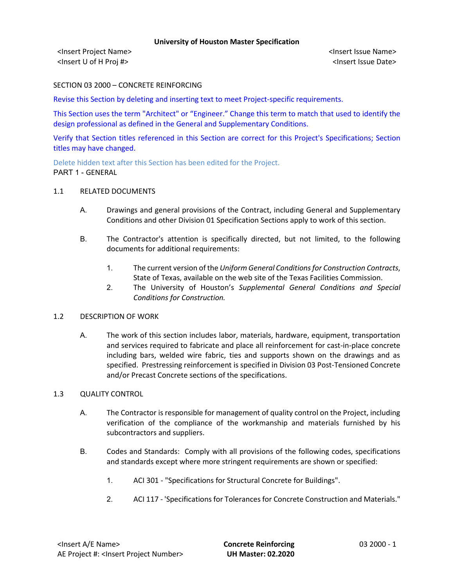<Insert Project Name> <Insert Issue Name> <Insert U of H Proj #> <Insert Issue Date>

SECTION 03 2000 – CONCRETE REINFORCING

Revise this Section by deleting and inserting text to meet Project-specific requirements.

This Section uses the term "Architect" or "Engineer." Change this term to match that used to identify the design professional as defined in the General and Supplementary Conditions.

Verify that Section titles referenced in this Section are correct for this Project's Specifications; Section titles may have changed.

Delete hidden text after this Section has been edited for the Project. PART 1 - GENERAL

# 1.1 RELATED DOCUMENTS

- A. Drawings and general provisions of the Contract, including General and Supplementary Conditions and other Division 01 Specification Sections apply to work of this section.
- B. The Contractor's attention is specifically directed, but not limited, to the following documents for additional requirements:
	- 1. The current version of the *Uniform General Conditions for Construction Contracts*, State of Texas, available on the web site of the Texas Facilities Commission.
	- 2. The University of Houston's *Supplemental General Conditions and Special Conditions for Construction.*

# 1.2 DESCRIPTION OF WORK

A. The work of this section includes labor, materials, hardware, equipment, transportation and services required to fabricate and place all reinforcement for cast-in-place concrete including bars, welded wire fabric, ties and supports shown on the drawings and as specified. Prestressing reinforcement is specified in Division 03 Post-Tensioned Concrete and/or Precast Concrete sections of the specifications.

# 1.3 QUALITY CONTROL

- A. The Contractor is responsible for management of quality control on the Project, including verification of the compliance of the workmanship and materials furnished by his subcontractors and suppliers.
- B. Codes and Standards: Comply with all provisions of the following codes, specifications and standards except where more stringent requirements are shown or specified:
	- 1. ACI 301 "Specifications for Structural Concrete for Buildings".
	- 2. ACI 117 'Specifications for Tolerances for Concrete Construction and Materials."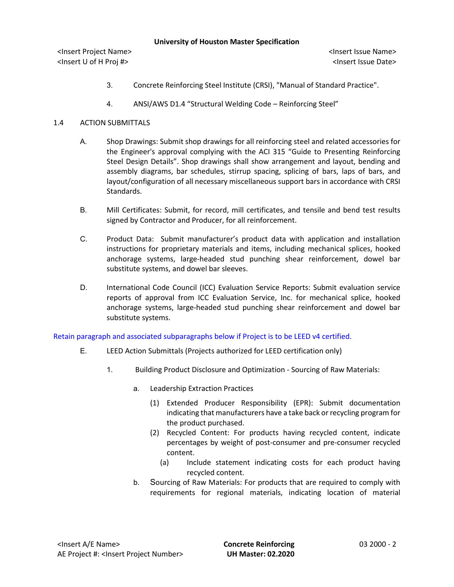|  | <b>University of Houston Master Specification</b> |  |
|--|---------------------------------------------------|--|
|--|---------------------------------------------------|--|

<Insert Project Name> <Insert Issue Name> <Insert U of H Proj #> <Insert Issue Date>

- 3. Concrete Reinforcing Steel Institute (CRSI), "Manual of Standard Practice".
- 4. ANSI/AWS D1.4 "Structural Welding Code Reinforcing Steel"

# 1.4 ACTION SUBMITTALS

- A. Shop Drawings: Submit shop drawings for all reinforcing steel and related accessories for the Engineer's approval complying with the ACI 315 "Guide to Presenting Reinforcing Steel Design Details". Shop drawings shall show arrangement and layout, bending and assembly diagrams, bar schedules, stirrup spacing, splicing of bars, laps of bars, and layout/configuration of all necessary miscellaneous support bars in accordance with CRSI Standards.
- B. Mill Certificates: Submit, for record, mill certificates, and tensile and bend test results signed by Contractor and Producer, for all reinforcement.
- C. Product Data: Submit manufacturer's product data with application and installation instructions for proprietary materials and items, including mechanical splices, hooked anchorage systems, large-headed stud punching shear reinforcement, dowel bar substitute systems, and dowel bar sleeves.
- D. International Code Council (ICC) Evaluation Service Reports: Submit evaluation service reports of approval from ICC Evaluation Service, Inc. for mechanical splice, hooked anchorage systems, large-headed stud punching shear reinforcement and dowel bar substitute systems.

Retain paragraph and associated subparagraphs below if Project is to be LEED v4 certified.

- E. LEED Action Submittals (Projects authorized for LEED certification only)
	- 1. Building Product Disclosure and Optimization Sourcing of Raw Materials:
		- a. Leadership Extraction Practices
			- (1) Extended Producer Responsibility (EPR): Submit documentation indicating that manufacturers have a take back or recycling program for the product purchased.
			- (2) Recycled Content: For products having recycled content, indicate percentages by weight of post-consumer and pre-consumer recycled content.
				- (a) Include statement indicating costs for each product having recycled content.
		- b. Sourcing of Raw Materials: For products that are required to comply with requirements for regional materials, indicating location of material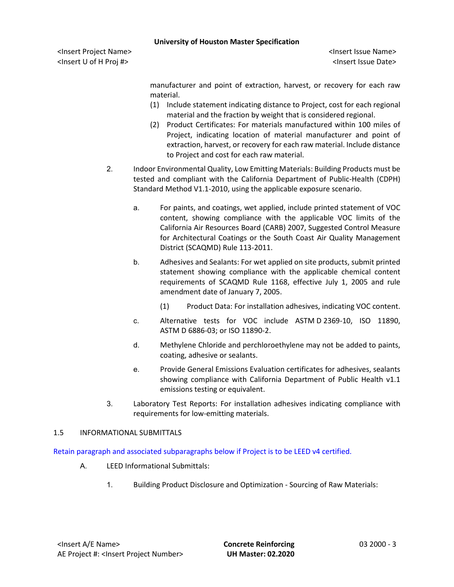<Insert Project Name> <Insert Issue Name> <Insert U of H Proj #> <Insert Issue Date>

manufacturer and point of extraction, harvest, or recovery for each raw material.

- (1) Include statement indicating distance to Project, cost for each regional material and the fraction by weight that is considered regional.
- (2) Product Certificates: For materials manufactured within 100 miles of Project, indicating location of material manufacturer and point of extraction, harvest, or recovery for each raw material. Include distance to Project and cost for each raw material.
- 2. Indoor Environmental Quality, Low Emitting Materials: Building Products must be tested and compliant with the California Department of Public-Health (CDPH) Standard Method V1.1-2010, using the applicable exposure scenario.
	- a. For paints, and coatings, wet applied, include printed statement of VOC content, showing compliance with the applicable VOC limits of the California Air Resources Board (CARB) 2007, Suggested Control Measure for Architectural Coatings or the South Coast Air Quality Management District (SCAQMD) Rule 113-2011.
	- b. Adhesives and Sealants: For wet applied on site products, submit printed statement showing compliance with the applicable chemical content requirements of SCAQMD Rule 1168, effective July 1, 2005 and rule amendment date of January 7, 2005.
		- (1) Product Data: For installation adhesives, indicating VOC content.
	- c. Alternative tests for VOC include ASTM D 2369-10, ISO 11890, ASTM D 6886-03; or ISO 11890-2.
	- d. Methylene Chloride and perchloroethylene may not be added to paints, coating, adhesive or sealants.
	- e. Provide General Emissions Evaluation certificates for adhesives, sealants showing compliance with California Department of Public Health v1.1 emissions testing or equivalent.
- 3. Laboratory Test Reports: For installation adhesives indicating compliance with requirements for low-emitting materials.

# 1.5 INFORMATIONAL SUBMITTALS

Retain paragraph and associated subparagraphs below if Project is to be LEED v4 certified.

- A. LEED Informational Submittals:
	- 1. Building Product Disclosure and Optimization Sourcing of Raw Materials: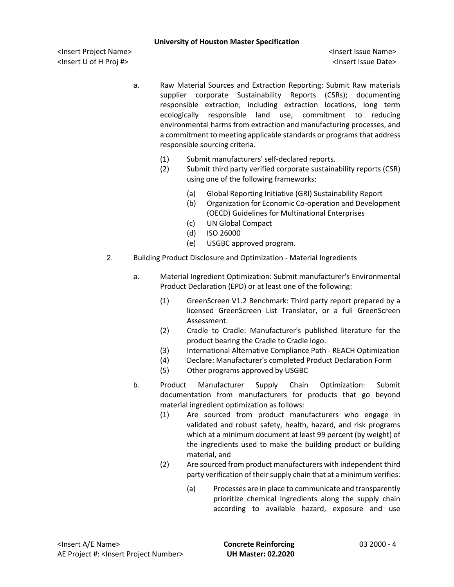<Insert Project Name> <Insert Issue Name> <Insert U of H Proj #> <Insert Issue Date>

- a. Raw Material Sources and Extraction Reporting: Submit Raw materials supplier corporate Sustainability Reports (CSRs); documenting responsible extraction; including extraction locations, long term ecologically responsible land use, commitment to reducing environmental harms from extraction and manufacturing processes, and a commitment to meeting applicable standards or programs that address responsible sourcing criteria.
	- (1) Submit manufacturers' self-declared reports.
	- (2) Submit third party verified corporate sustainability reports (CSR) using one of the following frameworks:
		- (a) Global Reporting Initiative (GRI) Sustainability Report
		- (b) Organization for Economic Co-operation and Development (OECD) Guidelines for Multinational Enterprises
		- (c) UN Global Compact
		- (d) ISO 26000
		- (e) USGBC approved program.
- 2. Building Product Disclosure and Optimization Material Ingredients
	- a. Material Ingredient Optimization: Submit manufacturer's Environmental Product Declaration (EPD) or at least one of the following:
		- (1) GreenScreen V1.2 Benchmark: Third party report prepared by a licensed GreenScreen List Translator, or a full GreenScreen Assessment.
		- (2) Cradle to Cradle: Manufacturer's published literature for the product bearing the Cradle to Cradle logo.
		- (3) International Alternative Compliance Path REACH Optimization
		- (4) Declare: Manufacturer's completed Product Declaration Form
		- (5) Other programs approved by USGBC
	- b. Product Manufacturer Supply Chain Optimization: Submit documentation from manufacturers for products that go beyond material ingredient optimization as follows:
		- (1) Are sourced from product manufacturers who engage in validated and robust safety, health, hazard, and risk programs which at a minimum document at least 99 percent (by weight) of the ingredients used to make the building product or building material, and
		- (2) Are sourced from product manufacturers with independent third party verification of their supply chain that at a minimum verifies:
			- (a) Processes are in place to communicate and transparently prioritize chemical ingredients along the supply chain according to available hazard, exposure and use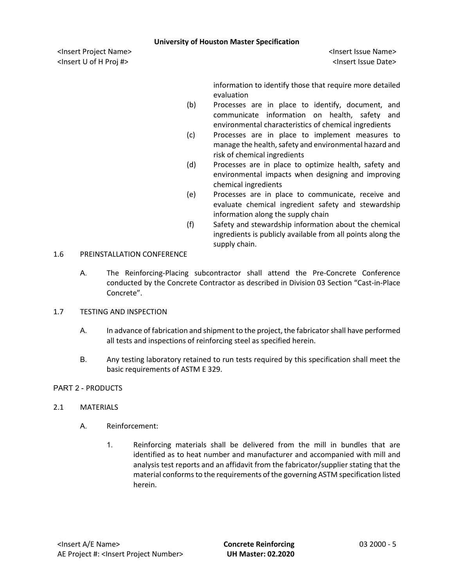<Insert Project Name> <Insert Issue Name> <Insert U of H Proj #> <Insert Issue Date>

information to identify those that require more detailed evaluation

- (b) Processes are in place to identify, document, and communicate information on health, safety and environmental characteristics of chemical ingredients
- (c) Processes are in place to implement measures to manage the health, safety and environmental hazard and risk of chemical ingredients
- (d) Processes are in place to optimize health, safety and environmental impacts when designing and improving chemical ingredients
- (e) Processes are in place to communicate, receive and evaluate chemical ingredient safety and stewardship information along the supply chain
- (f) Safety and stewardship information about the chemical ingredients is publicly available from all points along the supply chain.

# 1.6 PREINSTALLATION CONFERENCE

- A. The Reinforcing-Placing subcontractor shall attend the Pre-Concrete Conference conducted by the Concrete Contractor as described in Division 03 Section "Cast-in-Place Concrete".
- 1.7 TESTING AND INSPECTION
	- A. In advance of fabrication and shipment to the project, the fabricator shall have performed all tests and inspections of reinforcing steel as specified herein.
	- B. Any testing laboratory retained to run tests required by this specification shall meet the basic requirements of ASTM E 329.

# PART 2 - PRODUCTS

# 2.1 MATERIALS

- A. Reinforcement:
	- 1. Reinforcing materials shall be delivered from the mill in bundles that are identified as to heat number and manufacturer and accompanied with mill and analysis test reports and an affidavit from the fabricator/supplier stating that the material conforms to the requirements of the governing ASTM specification listed herein.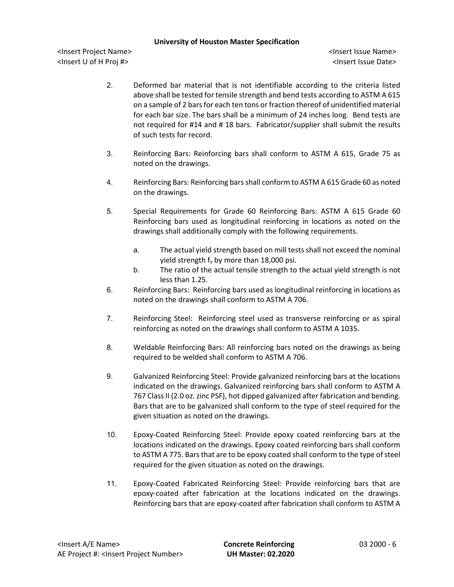<Insert Project Name> <Insert Issue Name> <Insert U of H Proj #> <Insert Issue Date>

- 2. Deformed bar material that is not identifiable according to the criteria listed above shall be tested for tensile strength and bend tests according to ASTM A 615 on a sample of 2 bars for each ten tons or fraction thereof of unidentified material for each bar size. The bars shall be a minimum of 24 inches long. Bend tests are not required for #14 and # 18 bars. Fabricator/supplier shall submit the results of such tests for record.
- 3. Reinforcing Bars: Reinforcing bars shall conform to ASTM A 615, Grade 75 as noted on the drawings.
- 4. Reinforcing Bars: Reinforcing barsshall conform to ASTM A 615 Grade 60 as noted on the drawings.
- 5. Special Requirements for Grade 60 Reinforcing Bars: ASTM A 615 Grade 60 Reinforcing bars used as longitudinal reinforcing in locations as noted on the drawings shall additionally comply with the following requirements.
	- a. The actual yield strength based on mill tests shall not exceed the nominal yield strength  $f_v$  by more than 18,000 psi.
	- b. The ratio of the actual tensile strength to the actual yield strength is not less than 1.25.
- 6. Reinforcing Bars: Reinforcing bars used as longitudinal reinforcing in locations as noted on the drawings shall conform to ASTM A 706.
- 7. Reinforcing Steel: Reinforcing steel used as transverse reinforcing or as spiral reinforcing as noted on the drawings shall conform to ASTM A 1035.
- 8. Weldable Reinforcing Bars: All reinforcing bars noted on the drawings as being required to be welded shall conform to ASTM A 706.
- 9. Galvanized Reinforcing Steel: Provide galvanized reinforcing bars at the locations indicated on the drawings. Galvanized reinforcing bars shall conform to ASTM A 767 Class II (2.0 oz. zinc PSF), hot dipped galvanized after fabrication and bending. Bars that are to be galvanized shall conform to the type of steel required for the given situation as noted on the drawings.
- 10. Epoxy-Coated Reinforcing Steel: Provide epoxy coated reinforcing bars at the locations indicated on the drawings. Epoxy coated reinforcing bars shall conform to ASTM A 775. Bars that are to be epoxy coated shall conform to the type of steel required for the given situation as noted on the drawings.
- 11. Epoxy-Coated Fabricated Reinforcing Steel: Provide reinforcing bars that are epoxy-coated after fabrication at the locations indicated on the drawings. Reinforcing bars that are epoxy-coated after fabrication shall conform to ASTM A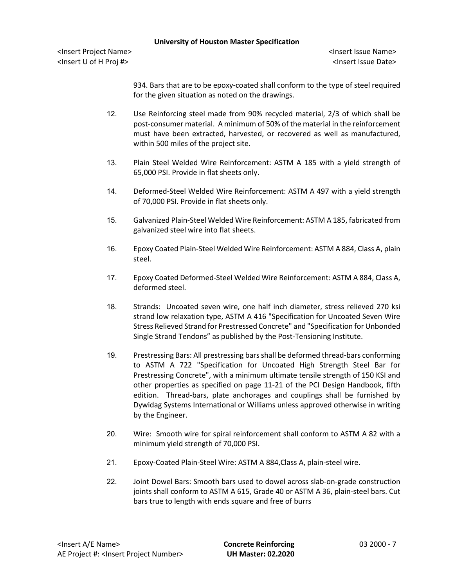<Insert Project Name> <Insert Issue Name> <Insert U of H Proj #> <Insert Issue Date>

934. Bars that are to be epoxy-coated shall conform to the type of steel required for the given situation as noted on the drawings.

- 12. Use Reinforcing steel made from 90% recycled material, 2/3 of which shall be post-consumer material. A minimum of 50% of the material in the reinforcement must have been extracted, harvested, or recovered as well as manufactured, within 500 miles of the project site.
- 13. Plain Steel Welded Wire Reinforcement: ASTM A 185 with a yield strength of 65,000 PSI. Provide in flat sheets only.
- 14. Deformed-Steel Welded Wire Reinforcement: ASTM A 497 with a yield strength of 70,000 PSI. Provide in flat sheets only.
- 15. Galvanized Plain-Steel Welded Wire Reinforcement: ASTM A 185, fabricated from galvanized steel wire into flat sheets.
- 16. Epoxy Coated Plain-Steel Welded Wire Reinforcement: ASTM A 884, Class A, plain steel.
- 17. Epoxy Coated Deformed-Steel Welded Wire Reinforcement: ASTM A 884, Class A, deformed steel.
- 18. Strands: Uncoated seven wire, one half inch diameter, stress relieved 270 ksi strand low relaxation type, ASTM A 416 "Specification for Uncoated Seven Wire Stress Relieved Strand for Prestressed Concrete" and "Specification for Unbonded Single Strand Tendons" as published by the Post-Tensioning Institute.
- 19. Prestressing Bars: All prestressing bars shall be deformed thread-bars conforming to ASTM A 722 "Specification for Uncoated High Strength Steel Bar for Prestressing Concrete", with a minimum ultimate tensile strength of 150 KSI and other properties as specified on page 11-21 of the PCI Design Handbook, fifth edition. Thread-bars, plate anchorages and couplings shall be furnished by Dywidag Systems International or Williams unless approved otherwise in writing by the Engineer.
- 20. Wire: Smooth wire for spiral reinforcement shall conform to ASTM A 82 with a minimum yield strength of 70,000 PSI.
- 21. Epoxy-Coated Plain-Steel Wire: ASTM A 884,Class A, plain-steel wire.
- 22. Joint Dowel Bars: Smooth bars used to dowel across slab-on-grade construction joints shall conform to ASTM A 615, Grade 40 or ASTM A 36, plain-steel bars. Cut bars true to length with ends square and free of burrs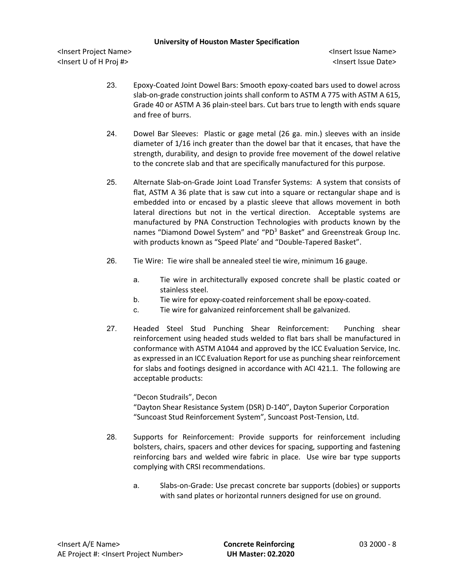<Insert Project Name> <Insert Issue Name> <Insert U of H Proj #> <Insert Issue Date>

- 23. Epoxy-Coated Joint Dowel Bars: Smooth epoxy-coated bars used to dowel across slab-on-grade construction joints shall conform to ASTM A 775 with ASTM A 615, Grade 40 or ASTM A 36 plain-steel bars. Cut bars true to length with ends square and free of burrs.
- 24. Dowel Bar Sleeves: Plastic or gage metal (26 ga. min.) sleeves with an inside diameter of 1/16 inch greater than the dowel bar that it encases, that have the strength, durability, and design to provide free movement of the dowel relative to the concrete slab and that are specifically manufactured for this purpose.
- 25. Alternate Slab-on-Grade Joint Load Transfer Systems: A system that consists of flat, ASTM A 36 plate that is saw cut into a square or rectangular shape and is embedded into or encased by a plastic sleeve that allows movement in both lateral directions but not in the vertical direction. Acceptable systems are manufactured by PNA Construction Technologies with products known by the names "Diamond Dowel System" and "PD<sup>3</sup> Basket" and Greenstreak Group Inc. with products known as "Speed Plate' and "Double-Tapered Basket".
- 26. Tie Wire: Tie wire shall be annealed steel tie wire, minimum 16 gauge.
	- a. Tie wire in architecturally exposed concrete shall be plastic coated or stainless steel.
	- b. Tie wire for epoxy-coated reinforcement shall be epoxy-coated.
	- c. Tie wire for galvanized reinforcement shall be galvanized.
- 27. Headed Steel Stud Punching Shear Reinforcement: Punching shear reinforcement using headed studs welded to flat bars shall be manufactured in conformance with ASTM A1044 and approved by the ICC Evaluation Service, Inc. as expressed in an ICC Evaluation Report for use as punching shear reinforcement for slabs and footings designed in accordance with ACI 421.1. The following are acceptable products:

# "Decon Studrails", Decon "Dayton Shear Resistance System (DSR) D-140", Dayton Superior Corporation "Suncoast Stud Reinforcement System", Suncoast Post-Tension, Ltd.

- 28. Supports for Reinforcement: Provide supports for reinforcement including bolsters, chairs, spacers and other devices for spacing, supporting and fastening reinforcing bars and welded wire fabric in place. Use wire bar type supports complying with CRSI recommendations.
	- a. Slabs-on-Grade: Use precast concrete bar supports (dobies) or supports with sand plates or horizontal runners designed for use on ground.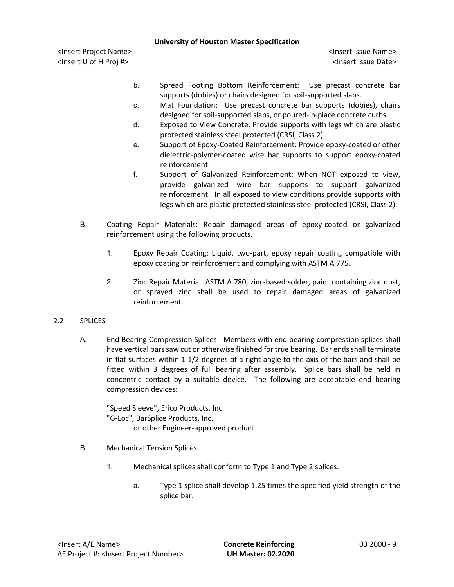<Insert Project Name> <Insert Issue Name> <Insert U of H Proj #> <Insert Issue Date>

- b. Spread Footing Bottom Reinforcement: Use precast concrete bar supports (dobies) or chairs designed for soil-supported slabs.
- c. Mat Foundation: Use precast concrete bar supports (dobies), chairs designed for soil-supported slabs, or poured-in-place concrete curbs.
- d. Exposed to View Concrete: Provide supports with legs which are plastic protected stainless steel protected (CRSI, Class 2).
- e. Support of Epoxy-Coated Reinforcement: Provide epoxy-coated or other dielectric-polymer-coated wire bar supports to support epoxy-coated reinforcement.
- f. Support of Galvanized Reinforcement: When NOT exposed to view, provide galvanized wire bar supports to support galvanized reinforcement. In all exposed to view conditions provide supports with legs which are plastic protected stainless steel protected (CRSI, Class 2).
- B. Coating Repair Materials: Repair damaged areas of epoxy-coated or galvanized reinforcement using the following products.
	- 1. Epoxy Repair Coating: Liquid, two-part, epoxy repair coating compatible with epoxy coating on reinforcement and complying with ASTM A 775.
	- 2. Zinc Repair Material: ASTM A 780, zinc-based solder, paint containing zinc dust, or sprayed zinc shall be used to repair damaged areas of galvanized reinforcement.
- 2.2 SPLICES
	- A. End Bearing Compression Splices: Members with end bearing compression splices shall have vertical bars saw cut or otherwise finished for true bearing. Bar ends shall terminate in flat surfaces within 1 1/2 degrees of a right angle to the axis of the bars and shall be fitted within 3 degrees of full bearing after assembly. Splice bars shall be held in concentric contact by a suitable device. The following are acceptable end bearing compression devices:

"Speed Sleeve", Erico Products, Inc. "G-Loc", BarSplice Products, Inc. or other Engineer-approved product.

- B. Mechanical Tension Splices:
	- 1. Mechanical splices shall conform to Type 1 and Type 2 splices.
		- a. Type 1 splice shall develop 1.25 times the specified yield strength of the splice bar.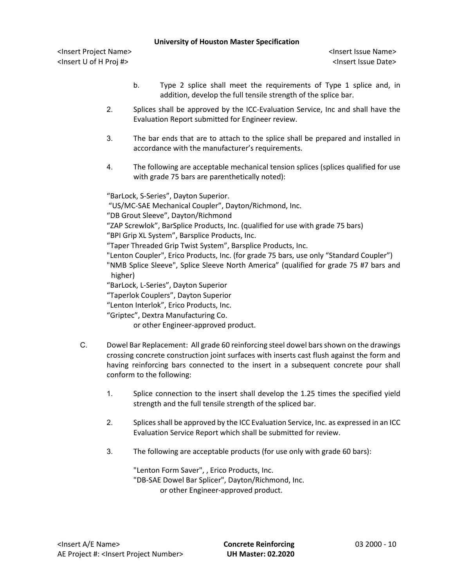<Insert Project Name> <Insert Issue Name> <Insert U of H Proj #> <Insert Issue Date>

- b. Type 2 splice shall meet the requirements of Type 1 splice and, in addition, develop the full tensile strength of the splice bar.
- 2. Splices shall be approved by the ICC-Evaluation Service, Inc and shall have the Evaluation Report submitted for Engineer review.
- 3. The bar ends that are to attach to the splice shall be prepared and installed in accordance with the manufacturer's requirements.
- 4. The following are acceptable mechanical tension splices (splices qualified for use with grade 75 bars are parenthetically noted):

"BarLock, S-Series", Dayton Superior.

- "US/MC-SAE Mechanical Coupler", Dayton/Richmond, Inc.
- "DB Grout Sleeve", Dayton/Richmond
- "ZAP Screwlok", BarSplice Products, Inc. (qualified for use with grade 75 bars)

"BPI Grip XL System", Barsplice Products, Inc.

"Taper Threaded Grip Twist System", Barsplice Products, Inc.

"Lenton Coupler", Erico Products, Inc. (for grade 75 bars, use only "Standard Coupler")

- "NMB Splice Sleeve", Splice Sleeve North America" (qualified for grade 75 #7 bars and higher)
- "BarLock, L-Series", Dayton Superior
- "Taperlok Couplers", Dayton Superior
- "Lenton Interlok", Erico Products, Inc.
- "Griptec", Dextra Manufacturing Co.

or other Engineer-approved product.

- C. Dowel Bar Replacement: All grade 60 reinforcing steel dowel bars shown on the drawings crossing concrete construction joint surfaces with inserts cast flush against the form and having reinforcing bars connected to the insert in a subsequent concrete pour shall conform to the following:
	- 1. Splice connection to the insert shall develop the 1.25 times the specified yield strength and the full tensile strength of the spliced bar.
	- 2. Splices shall be approved by the ICC Evaluation Service, Inc. as expressed in an ICC Evaluation Service Report which shall be submitted for review.
	- 3. The following are acceptable products (for use only with grade 60 bars):

"Lenton Form Saver", , Erico Products, Inc. "DB-SAE Dowel Bar Splicer", Dayton/Richmond, Inc. or other Engineer-approved product.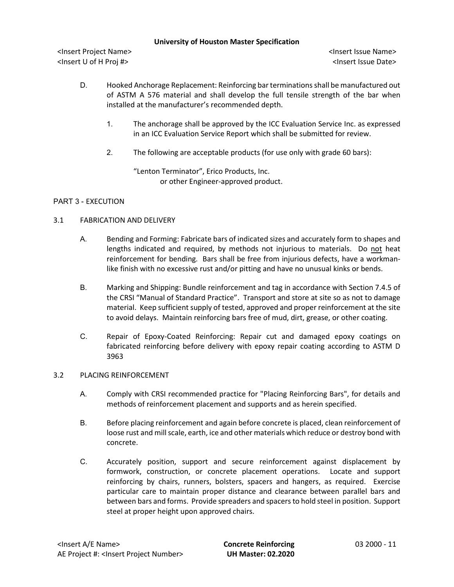<Insert Project Name> <Insert Issue Name> <Insert U of H Proj #> <Insert Issue Date>

- D. Hooked Anchorage Replacement: Reinforcing bar terminations shall be manufactured out of ASTM A 576 material and shall develop the full tensile strength of the bar when installed at the manufacturer's recommended depth.
	- 1. The anchorage shall be approved by the ICC Evaluation Service Inc. as expressed in an ICC Evaluation Service Report which shall be submitted for review.
	- 2. The following are acceptable products (for use only with grade 60 bars):

"Lenton Terminator", Erico Products, Inc. or other Engineer-approved product.

# PART 3 - EXECUTION

# 3.1 FABRICATION AND DELIVERY

- A. Bending and Forming: Fabricate bars of indicated sizes and accurately form to shapes and lengths indicated and required, by methods not injurious to materials. Do not heat reinforcement for bending. Bars shall be free from injurious defects, have a workmanlike finish with no excessive rust and/or pitting and have no unusual kinks or bends.
- B. Marking and Shipping: Bundle reinforcement and tag in accordance with Section 7.4.5 of the CRSI "Manual of Standard Practice". Transport and store at site so as not to damage material. Keep sufficient supply of tested, approved and proper reinforcement at the site to avoid delays. Maintain reinforcing bars free of mud, dirt, grease, or other coating.
- C. Repair of Epoxy-Coated Reinforcing: Repair cut and damaged epoxy coatings on fabricated reinforcing before delivery with epoxy repair coating according to ASTM D 3963

# 3.2 PLACING REINFORCEMENT

- A. Comply with CRSI recommended practice for "Placing Reinforcing Bars", for details and methods of reinforcement placement and supports and as herein specified.
- B. Before placing reinforcement and again before concrete is placed, clean reinforcement of loose rust and mill scale, earth, ice and other materials which reduce or destroy bond with concrete.
- C. Accurately position, support and secure reinforcement against displacement by formwork, construction, or concrete placement operations. Locate and support reinforcing by chairs, runners, bolsters, spacers and hangers, as required. Exercise particular care to maintain proper distance and clearance between parallel bars and between bars and forms. Provide spreaders and spacers to hold steel in position. Support steel at proper height upon approved chairs.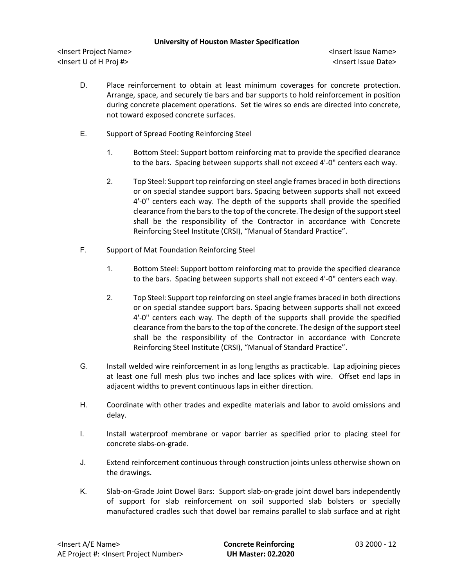<Insert Project Name> <Insert Issue Name> <Insert U of H Proj #> <Insert Issue Date>

- D. Place reinforcement to obtain at least minimum coverages for concrete protection. Arrange, space, and securely tie bars and bar supports to hold reinforcement in position during concrete placement operations. Set tie wires so ends are directed into concrete, not toward exposed concrete surfaces.
- E. Support of Spread Footing Reinforcing Steel
	- 1. Bottom Steel: Support bottom reinforcing mat to provide the specified clearance to the bars. Spacing between supports shall not exceed 4'-0" centers each way.
	- 2. Top Steel: Support top reinforcing on steel angle frames braced in both directions or on special standee support bars. Spacing between supports shall not exceed 4'-0" centers each way. The depth of the supports shall provide the specified clearance from the bars to the top of the concrete. The design of the support steel shall be the responsibility of the Contractor in accordance with Concrete Reinforcing Steel Institute (CRSI), "Manual of Standard Practice".
- F. Support of Mat Foundation Reinforcing Steel
	- 1. Bottom Steel: Support bottom reinforcing mat to provide the specified clearance to the bars. Spacing between supports shall not exceed 4'-0" centers each way.
	- 2. Top Steel: Support top reinforcing on steel angle frames braced in both directions or on special standee support bars. Spacing between supports shall not exceed 4'-0" centers each way. The depth of the supports shall provide the specified clearance from the bars to the top of the concrete. The design of the support steel shall be the responsibility of the Contractor in accordance with Concrete Reinforcing Steel Institute (CRSI), "Manual of Standard Practice".
- G. Install welded wire reinforcement in as long lengths as practicable. Lap adjoining pieces at least one full mesh plus two inches and lace splices with wire. Offset end laps in adjacent widths to prevent continuous laps in either direction.
- H. Coordinate with other trades and expedite materials and labor to avoid omissions and delay.
- I. Install waterproof membrane or vapor barrier as specified prior to placing steel for concrete slabs-on-grade.
- J. Extend reinforcement continuous through construction joints unless otherwise shown on the drawings.
- K. Slab-on-Grade Joint Dowel Bars: Support slab-on-grade joint dowel bars independently of support for slab reinforcement on soil supported slab bolsters or specially manufactured cradles such that dowel bar remains parallel to slab surface and at right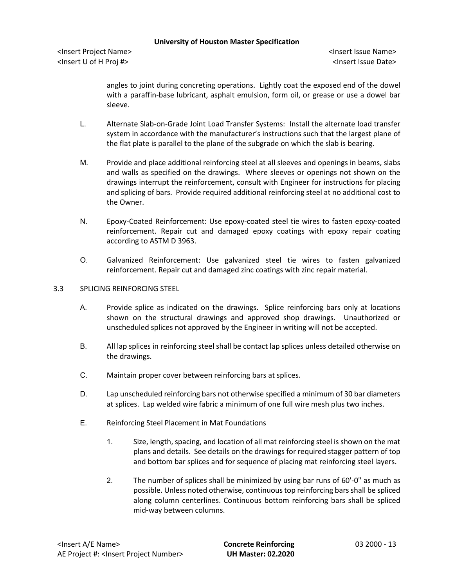<Insert Project Name> <Insert Issue Name> <Insert U of H Proj #> <Insert Issue Date>

angles to joint during concreting operations. Lightly coat the exposed end of the dowel with a paraffin-base lubricant, asphalt emulsion, form oil, or grease or use a dowel bar sleeve.

- L. Alternate Slab-on-Grade Joint Load Transfer Systems: Install the alternate load transfer system in accordance with the manufacturer's instructions such that the largest plane of the flat plate is parallel to the plane of the subgrade on which the slab is bearing.
- M. Provide and place additional reinforcing steel at all sleeves and openings in beams, slabs and walls as specified on the drawings. Where sleeves or openings not shown on the drawings interrupt the reinforcement, consult with Engineer for instructions for placing and splicing of bars. Provide required additional reinforcing steel at no additional cost to the Owner.
- N. Epoxy-Coated Reinforcement: Use epoxy-coated steel tie wires to fasten epoxy-coated reinforcement. Repair cut and damaged epoxy coatings with epoxy repair coating according to ASTM D 3963.
- O. Galvanized Reinforcement: Use galvanized steel tie wires to fasten galvanized reinforcement. Repair cut and damaged zinc coatings with zinc repair material.

# 3.3 SPLICING REINFORCING STEEL

- A. Provide splice as indicated on the drawings. Splice reinforcing bars only at locations shown on the structural drawings and approved shop drawings. Unauthorized or unscheduled splices not approved by the Engineer in writing will not be accepted.
- B. All lap splices in reinforcing steel shall be contact lap splices unless detailed otherwise on the drawings.
- C. Maintain proper cover between reinforcing bars at splices.
- D. Lap unscheduled reinforcing bars not otherwise specified a minimum of 30 bar diameters at splices. Lap welded wire fabric a minimum of one full wire mesh plus two inches.
- E. Reinforcing Steel Placement in Mat Foundations
	- 1. Size, length, spacing, and location of all mat reinforcing steel is shown on the mat plans and details. See details on the drawings for required stagger pattern of top and bottom bar splices and for sequence of placing mat reinforcing steel layers.
	- 2. The number of splices shall be minimized by using bar runs of 60'-0" as much as possible. Unless noted otherwise, continuous top reinforcing bars shall be spliced along column centerlines. Continuous bottom reinforcing bars shall be spliced mid-way between columns.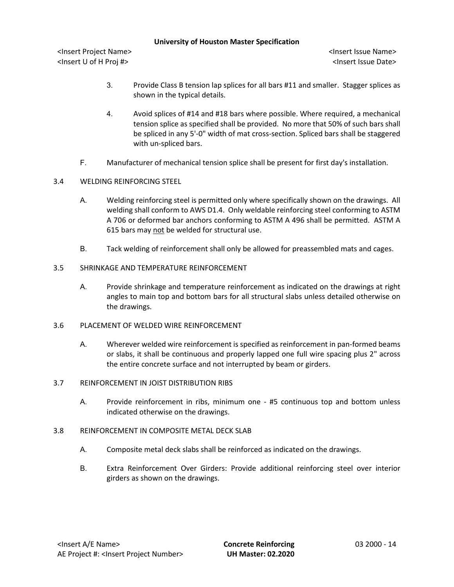<Insert Project Name> <Insert Issue Name> <Insert U of H Proj #> <Insert Issue Date>

- 3. Provide Class B tension lap splices for all bars #11 and smaller. Stagger splices as shown in the typical details.
- 4. Avoid splices of #14 and #18 bars where possible. Where required, a mechanical tension splice as specified shall be provided. No more that 50% of such bars shall be spliced in any 5'-0" width of mat cross-section. Spliced bars shall be staggered with un-spliced bars.
- F. Manufacturer of mechanical tension splice shall be present for first day's installation.
- 3.4 WELDING REINFORCING STEEL
	- A. Welding reinforcing steel is permitted only where specifically shown on the drawings. All welding shall conform to AWS D1.4. Only weldable reinforcing steel conforming to ASTM A 706 or deformed bar anchors conforming to ASTM A 496 shall be permitted. ASTM A 615 bars may not be welded for structural use.
	- B. Tack welding of reinforcement shall only be allowed for preassembled mats and cages.
- 3.5 SHRINKAGE AND TEMPERATURE REINFORCEMENT
	- A. Provide shrinkage and temperature reinforcement as indicated on the drawings at right angles to main top and bottom bars for all structural slabs unless detailed otherwise on the drawings.
- 3.6 PLACEMENT OF WELDED WIRE REINFORCEMENT
	- A. Wherever welded wire reinforcement is specified as reinforcement in pan-formed beams or slabs, it shall be continuous and properly lapped one full wire spacing plus 2" across the entire concrete surface and not interrupted by beam or girders.

# 3.7 REINFORCEMENT IN JOIST DISTRIBUTION RIBS

- A. Provide reinforcement in ribs, minimum one #5 continuous top and bottom unless indicated otherwise on the drawings.
- 3.8 REINFORCEMENT IN COMPOSITE METAL DECK SLAB
	- A. Composite metal deck slabs shall be reinforced as indicated on the drawings.
	- B. Extra Reinforcement Over Girders: Provide additional reinforcing steel over interior girders as shown on the drawings.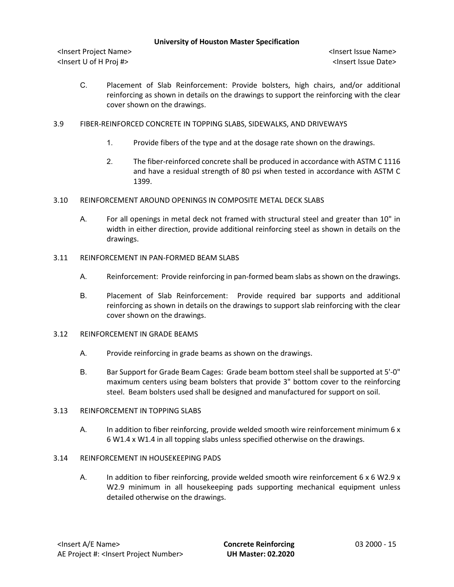<Insert Project Name> <Insert Issue Name> <Insert U of H Proj #> <Insert Issue Date>

- C. Placement of Slab Reinforcement: Provide bolsters, high chairs, and/or additional reinforcing as shown in details on the drawings to support the reinforcing with the clear cover shown on the drawings.
- 3.9 FIBER-REINFORCED CONCRETE IN TOPPING SLABS, SIDEWALKS, AND DRIVEWAYS
	- 1. Provide fibers of the type and at the dosage rate shown on the drawings.
	- 2. The fiber-reinforced concrete shall be produced in accordance with ASTM C 1116 and have a residual strength of 80 psi when tested in accordance with ASTM C 1399.
- 3.10 REINFORCEMENT AROUND OPENINGS IN COMPOSITE METAL DECK SLABS
	- A. For all openings in metal deck not framed with structural steel and greater than 10" in width in either direction, provide additional reinforcing steel as shown in details on the drawings.
- 3.11 REINFORCEMENT IN PAN-FORMED BEAM SLABS
	- A. Reinforcement: Provide reinforcing in pan-formed beam slabs as shown on the drawings.
	- B. Placement of Slab Reinforcement: Provide required bar supports and additional reinforcing as shown in details on the drawings to support slab reinforcing with the clear cover shown on the drawings.
- 3.12 REINFORCEMENT IN GRADE BEAMS
	- A. Provide reinforcing in grade beams as shown on the drawings.
	- B. Bar Support for Grade Beam Cages: Grade beam bottom steel shall be supported at 5'-0" maximum centers using beam bolsters that provide 3" bottom cover to the reinforcing steel. Beam bolsters used shall be designed and manufactured for support on soil.

#### 3.13 REINFORCEMENT IN TOPPING SLABS

A. In addition to fiber reinforcing, provide welded smooth wire reinforcement minimum 6 x 6 W1.4 x W1.4 in all topping slabs unless specified otherwise on the drawings.

# 3.14 REINFORCEMENT IN HOUSEKEEPING PADS

A. In addition to fiber reinforcing, provide welded smooth wire reinforcement 6 x 6 W2.9 x W2.9 minimum in all housekeeping pads supporting mechanical equipment unless detailed otherwise on the drawings.